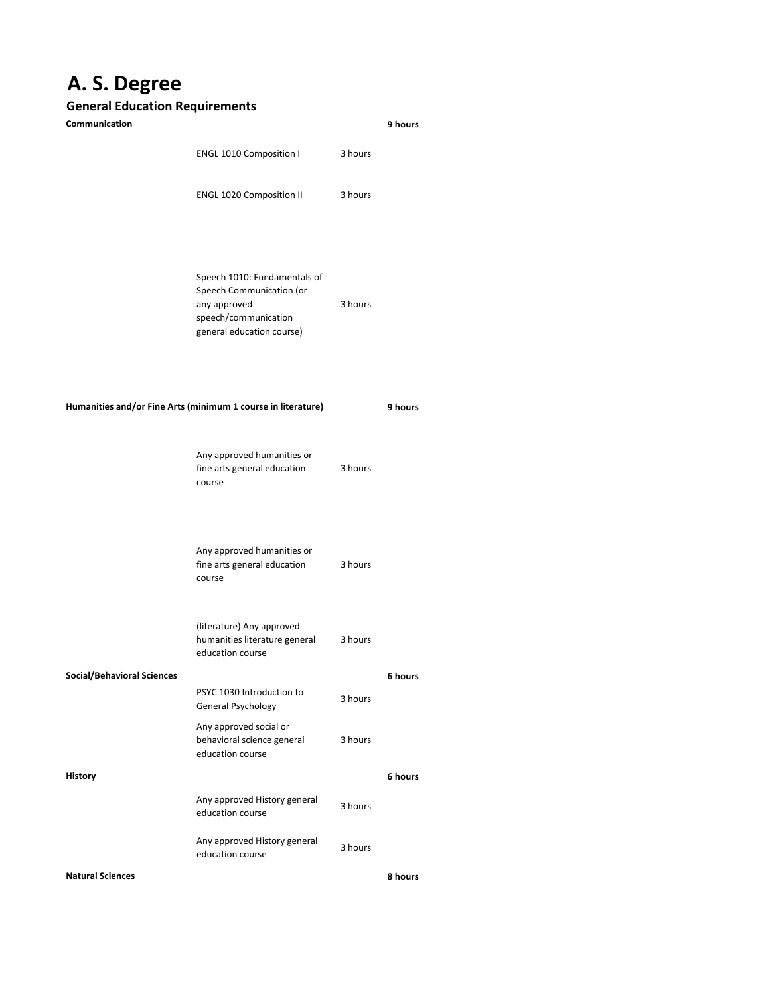## **A. S. Degree**

## **General Education Requirements**

| Communication                                                |                                                                                                                               |         | 9 hours |
|--------------------------------------------------------------|-------------------------------------------------------------------------------------------------------------------------------|---------|---------|
|                                                              | ENGL 1010 Composition I                                                                                                       | 3 hours |         |
|                                                              | <b>ENGL 1020 Composition II</b>                                                                                               | 3 hours |         |
|                                                              | Speech 1010: Fundamentals of<br>Speech Communication (or<br>any approved<br>speech/communication<br>general education course) | 3 hours |         |
| Humanities and/or Fine Arts (minimum 1 course in literature) |                                                                                                                               |         | 9 hours |
|                                                              | Any approved humanities or<br>fine arts general education<br>course                                                           | 3 hours |         |
|                                                              | Any approved humanities or<br>fine arts general education<br>course                                                           | 3 hours |         |
|                                                              | (literature) Any approved<br>humanities literature general<br>education course                                                | 3 hours |         |
| <b>Social/Behavioral Sciences</b>                            |                                                                                                                               |         | 6 hours |
|                                                              | PSYC 1030 Introduction to<br>General Psychology                                                                               | 3 hours |         |
|                                                              | Any approved social or<br>behavioral science general<br>education course                                                      | 3 hours |         |
| <b>History</b>                                               |                                                                                                                               |         | 6 hours |
|                                                              | Any approved History general<br>education course                                                                              | 3 hours |         |
|                                                              | Any approved History general<br>education course                                                                              | 3 hours |         |
| <b>Natural Sciences</b>                                      |                                                                                                                               |         | 8 hours |